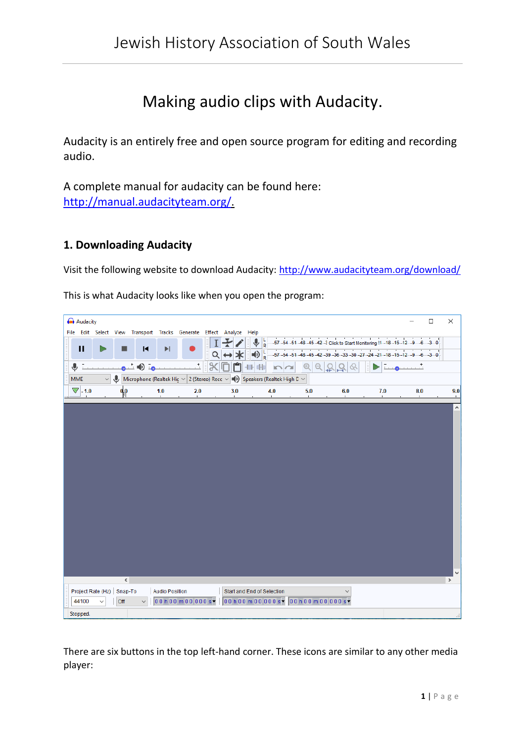# Making audio clips with Audacity.

Audacity is an entirely free and open source program for editing and recording audio.

A complete manual for audacity can be found here: [http://manual.audacityteam.org/.](http://manual.audacityteam.org/)

## **1. Downloading Audacity**

Visit the following website to download Audacity:<http://www.audacityteam.org/download/>

| Audacity                                                                                                     |  |       |                |                       |                                  |   |     |                                                                           |                                                             |     |     | □                                                                                                                | ×       |
|--------------------------------------------------------------------------------------------------------------|--|-------|----------------|-----------------------|----------------------------------|---|-----|---------------------------------------------------------------------------|-------------------------------------------------------------|-----|-----|------------------------------------------------------------------------------------------------------------------|---------|
| File Edit Select View Transport Tracks Generate Effect Analyze Help                                          |  |       |                |                       |                                  |   |     |                                                                           |                                                             |     |     |                                                                                                                  |         |
| п                                                                                                            |  | ▄     | $\blacksquare$ | $\blacktriangleright$ |                                  | Q | ↔≭  | $\bigoplus_{R} \frac{\mathsf{L}}{\mathsf{R}}$<br>$\bigcirc$ $\frac{L}{R}$ | $-57 - 54 - 51 - 48$<br>$-57 - 54 - 51 - 48 - 45 - 42 - 39$ |     |     | -2 Click to Start Monitoring !1-18-15-12-9-6-30<br>$-36 - 33 - 30 - 27 - 24 - 21 - 18 - 15 - 12 - 9 - 6 - 3 = 0$ |         |
| ⋓                                                                                                            |  |       |                |                       | $\begin{array}{c} + \end{array}$ | ℁ |     | <b>NOL of the</b><br>ю                                                    |                                                             |     |     |                                                                                                                  |         |
| Microphone (Realtek Hic $\sim$ 2 (Stereo) Recc $\sim$ (1) Speakers (Realtek High C $\sim$<br><b>MME</b><br>⋓ |  |       |                |                       |                                  |   |     |                                                                           |                                                             |     |     |                                                                                                                  |         |
| $\nabla$ -1.0                                                                                                |  | qρ    |                | 1.0                   | 2.0                              |   | 3.0 | 4.0                                                                       | 5.0                                                         | 6.0 | 7.0 | 8.0                                                                                                              | 9.0     |
|                                                                                                              |  |       |                |                       |                                  |   |     |                                                                           |                                                             |     |     |                                                                                                                  |         |
|                                                                                                              |  |       |                |                       |                                  |   |     |                                                                           |                                                             |     |     |                                                                                                                  | $\land$ |
|                                                                                                              |  |       |                |                       |                                  |   |     |                                                                           |                                                             |     |     |                                                                                                                  |         |
|                                                                                                              |  |       |                |                       |                                  |   |     |                                                                           |                                                             |     |     |                                                                                                                  |         |
|                                                                                                              |  |       |                |                       |                                  |   |     |                                                                           |                                                             |     |     |                                                                                                                  |         |
|                                                                                                              |  |       |                |                       |                                  |   |     |                                                                           |                                                             |     |     |                                                                                                                  |         |
|                                                                                                              |  |       |                |                       |                                  |   |     |                                                                           |                                                             |     |     |                                                                                                                  |         |
|                                                                                                              |  |       |                |                       |                                  |   |     |                                                                           |                                                             |     |     |                                                                                                                  |         |
|                                                                                                              |  |       |                |                       |                                  |   |     |                                                                           |                                                             |     |     |                                                                                                                  |         |
|                                                                                                              |  |       |                |                       |                                  |   |     |                                                                           |                                                             |     |     |                                                                                                                  |         |
|                                                                                                              |  |       |                |                       |                                  |   |     |                                                                           |                                                             |     |     |                                                                                                                  |         |
|                                                                                                              |  |       |                |                       |                                  |   |     |                                                                           |                                                             |     |     |                                                                                                                  |         |
|                                                                                                              |  |       |                |                       |                                  |   |     |                                                                           |                                                             |     |     |                                                                                                                  |         |
|                                                                                                              |  |       |                |                       |                                  |   |     |                                                                           |                                                             |     |     |                                                                                                                  |         |
|                                                                                                              |  |       |                |                       |                                  |   |     |                                                                           |                                                             |     |     |                                                                                                                  |         |
|                                                                                                              |  |       |                |                       |                                  |   |     |                                                                           |                                                             |     |     |                                                                                                                  |         |
|                                                                                                              |  |       |                |                       |                                  |   |     |                                                                           |                                                             |     |     |                                                                                                                  | v       |
|                                                                                                              |  | $\,<$ |                |                       |                                  |   |     |                                                                           |                                                             |     |     |                                                                                                                  | $\,$    |
| Project Rate (Hz) Snap-To                                                                                    |  |       |                | <b>Audio Position</b> |                                  |   |     | Start and End of Selection                                                |                                                             |     |     |                                                                                                                  |         |
| 44100                                                                                                        |  | Off   |                |                       | 00 h 00 m 00.000 s-              |   |     | $00h00m00.000s$ $\sqrt{00h00m00.000s}$                                    |                                                             |     |     |                                                                                                                  |         |
| Stopped.                                                                                                     |  |       |                |                       |                                  |   |     |                                                                           |                                                             |     |     |                                                                                                                  |         |

This is what Audacity looks like when you open the program:

There are six buttons in the top left-hand corner. These icons are similar to any other media player: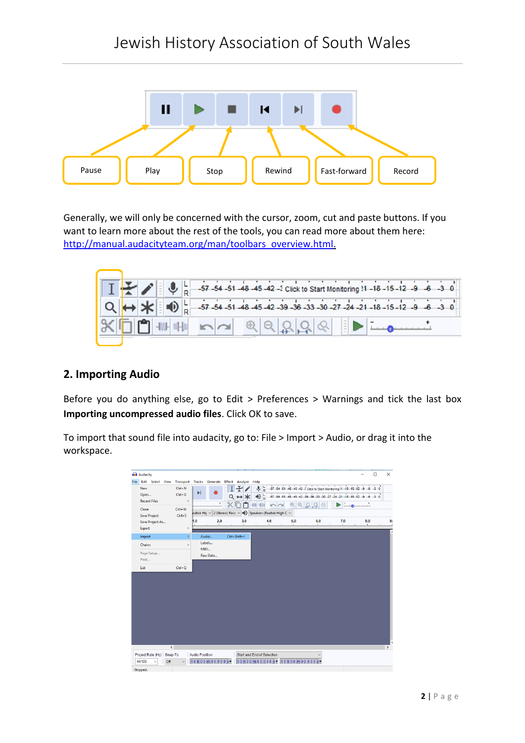

Generally, we will only be concerned with the cursor, zoom, cut and paste buttons. If you want to learn more about the rest of the tools, you can read more about them here: [http://manual.audacityteam.org/man/toolbars\\_overview.html.](http://manual.audacityteam.org/man/toolbars_overview.html)



# **2. Importing Audio**

Before you do anything else, go to Edit > Preferences > Warnings and tick the last box **Importing uncompressed audio files**. Click OK to save.

To import that sound file into audacity, go to: File > Import > Audio, or drag it into the workspace.

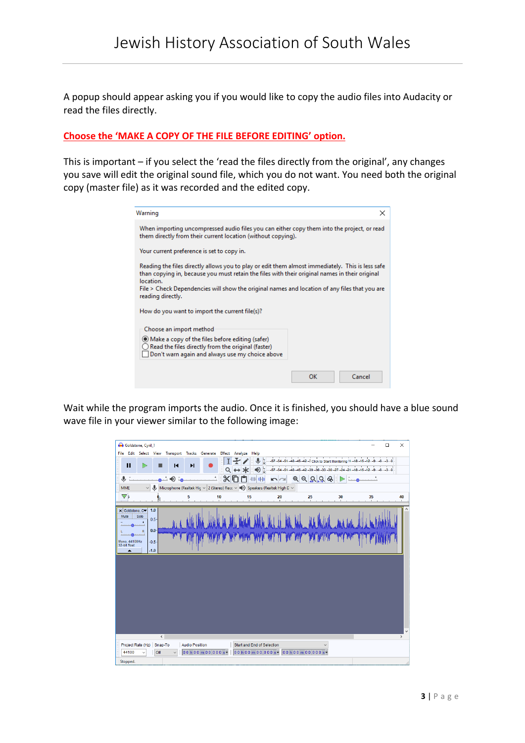A popup should appear asking you if you would like to copy the audio files into Audacity or read the files directly.

#### **Choose the 'MAKE A COPY OF THE FILE BEFORE EDITING' option.**

This is important – if you select the 'read the files directly from the original', any changes you save will edit the original sound file, which you do not want. You need both the original copy (master file) as it was recorded and the edited copy.

| Warning<br>×                                                                                                                                                                                                                                                                                                                          |              |  |  |  |  |  |  |  |  |
|---------------------------------------------------------------------------------------------------------------------------------------------------------------------------------------------------------------------------------------------------------------------------------------------------------------------------------------|--------------|--|--|--|--|--|--|--|--|
| When importing uncompressed audio files you can either copy them into the project, or read<br>them directly from their current location (without copying).                                                                                                                                                                            |              |  |  |  |  |  |  |  |  |
| Your current preference is set to copy in.                                                                                                                                                                                                                                                                                            |              |  |  |  |  |  |  |  |  |
| Reading the files directly allows you to play or edit them almost immediately. This is less safe<br>than copying in, because you must retain the files with their original names in their original<br>location.<br>File > Check Dependencies will show the original names and location of any files that you are<br>reading directly. |              |  |  |  |  |  |  |  |  |
| How do you want to import the current file(s)?                                                                                                                                                                                                                                                                                        |              |  |  |  |  |  |  |  |  |
| Choose an import method<br>• Make a copy of the files before editing (safer)<br>Read the files directly from the original (faster)<br>Don't warn again and always use my choice above                                                                                                                                                 |              |  |  |  |  |  |  |  |  |
|                                                                                                                                                                                                                                                                                                                                       | Cancel<br>ΩK |  |  |  |  |  |  |  |  |

Wait while the program imports the audio. Once it is finished, you should have a blue sound wave file in your viewer similar to the following image: